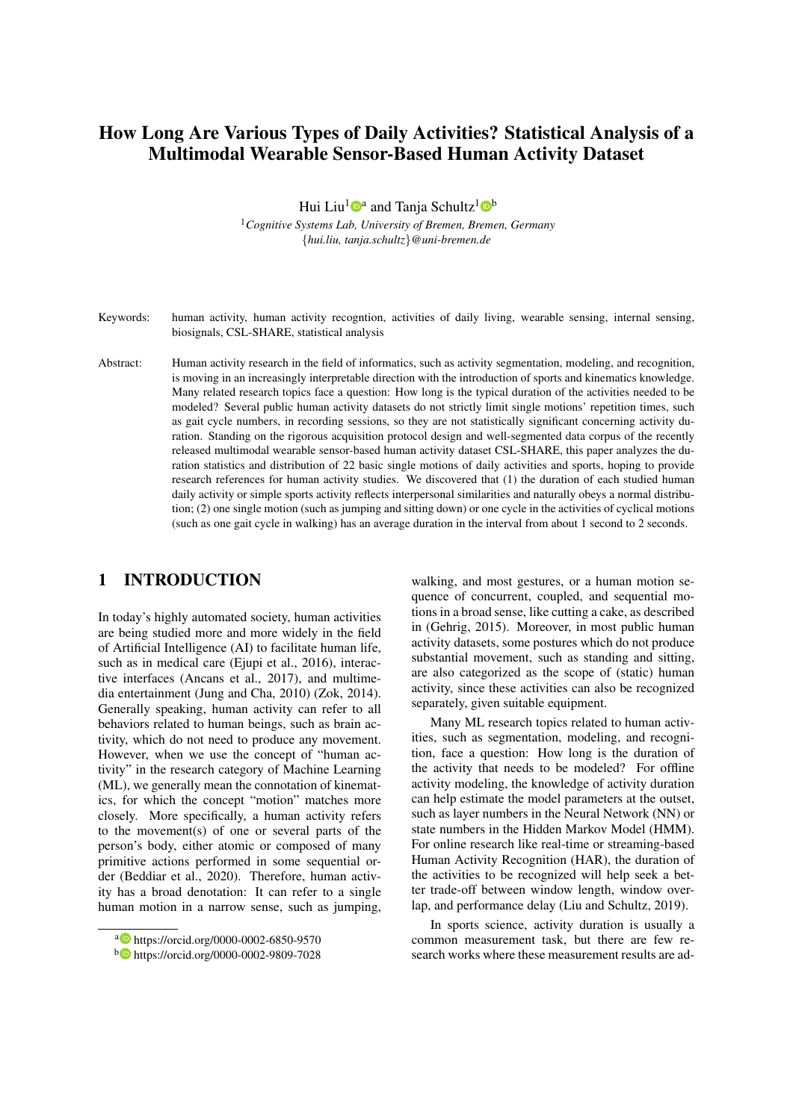# How Long Are Various Types of Daily Activities? Statistical Analysis of a Multimodal Wearable Sensor-Based Human Activity Dataset

Hui Liu<sup>1</sup><sup>®</sup> and Tanja Schultz<sup>1</sup><sup>®</sup>

<sup>1</sup>*Cognitive Systems Lab, University of Bremen, Bremen, Germany* {*hui.liu, tanja.schultz*}*@uni-bremen.de*

Keywords: human activity, human activity recogntion, activities of daily living, wearable sensing, internal sensing, biosignals, CSL-SHARE, statistical analysis

Abstract: Human activity research in the field of informatics, such as activity segmentation, modeling, and recognition, is moving in an increasingly interpretable direction with the introduction of sports and kinematics knowledge. Many related research topics face a question: How long is the typical duration of the activities needed to be modeled? Several public human activity datasets do not strictly limit single motions' repetition times, such as gait cycle numbers, in recording sessions, so they are not statistically significant concerning activity duration. Standing on the rigorous acquisition protocol design and well-segmented data corpus of the recently released multimodal wearable sensor-based human activity dataset CSL-SHARE, this paper analyzes the duration statistics and distribution of 22 basic single motions of daily activities and sports, hoping to provide research references for human activity studies. We discovered that (1) the duration of each studied human daily activity or simple sports activity reflects interpersonal similarities and naturally obeys a normal distribution; (2) one single motion (such as jumping and sitting down) or one cycle in the activities of cyclical motions (such as one gait cycle in walking) has an average duration in the interval from about 1 second to 2 seconds.

# 1 INTRODUCTION

In today's highly automated society, human activities are being studied more and more widely in the field of Artificial Intelligence (AI) to facilitate human life, such as in medical care (Ejupi et al., 2016), interactive interfaces (Ancans et al., 2017), and multimedia entertainment (Jung and Cha, 2010) (Zok, 2014). Generally speaking, human activity can refer to all behaviors related to human beings, such as brain activity, which do not need to produce any movement. However, when we use the concept of "human activity" in the research category of Machine Learning (ML), we generally mean the connotation of kinematics, for which the concept "motion" matches more closely. More specifically, a human activity refers to the movement(s) of one or several parts of the person's body, either atomic or composed of many primitive actions performed in some sequential order (Beddiar et al., 2020). Therefore, human activity has a broad denotation: It can refer to a single human motion in a narrow sense, such as jumping, walking, and most gestures, or a human motion sequence of concurrent, coupled, and sequential motions in a broad sense, like cutting a cake, as described in (Gehrig, 2015). Moreover, in most public human activity datasets, some postures which do not produce substantial movement, such as standing and sitting, are also categorized as the scope of (static) human activity, since these activities can also be recognized separately, given suitable equipment.

Many ML research topics related to human activities, such as segmentation, modeling, and recognition, face a question: How long is the duration of the activity that needs to be modeled? For offline activity modeling, the knowledge of activity duration can help estimate the model parameters at the outset, such as layer numbers in the Neural Network (NN) or state numbers in the Hidden Markov Model (HMM). For online research like real-time or streaming-based Human Activity Recognition (HAR), the duration of the activities to be recognized will help seek a better trade-off between window length, window overlap, and performance delay (Liu and Schultz, 2019).

In sports science, activity duration is usually a common measurement task, but there are few research works where these measurement results are ad-

a https://orcid.org/0000-0002-6850-9570

<sup>b</sup> https://orcid.org/0000-0002-9809-7028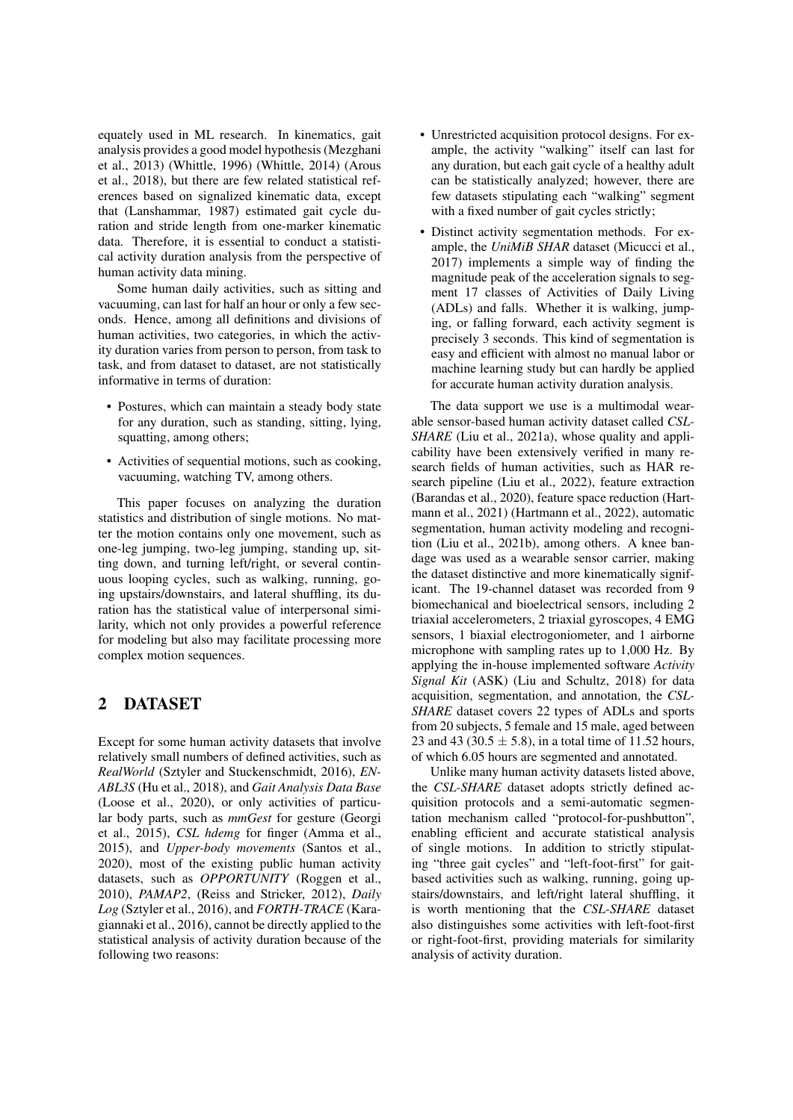equately used in ML research. In kinematics, gait analysis provides a good model hypothesis (Mezghani et al., 2013) (Whittle, 1996) (Whittle, 2014) (Arous et al., 2018), but there are few related statistical references based on signalized kinematic data, except that (Lanshammar, 1987) estimated gait cycle duration and stride length from one-marker kinematic data. Therefore, it is essential to conduct a statistical activity duration analysis from the perspective of human activity data mining.

Some human daily activities, such as sitting and vacuuming, can last for half an hour or only a few seconds. Hence, among all definitions and divisions of human activities, two categories, in which the activity duration varies from person to person, from task to task, and from dataset to dataset, are not statistically informative in terms of duration:

- Postures, which can maintain a steady body state for any duration, such as standing, sitting, lying, squatting, among others;
- Activities of sequential motions, such as cooking, vacuuming, watching TV, among others.

This paper focuses on analyzing the duration statistics and distribution of single motions. No matter the motion contains only one movement, such as one-leg jumping, two-leg jumping, standing up, sitting down, and turning left/right, or several continuous looping cycles, such as walking, running, going upstairs/downstairs, and lateral shuffling, its duration has the statistical value of interpersonal similarity, which not only provides a powerful reference for modeling but also may facilitate processing more complex motion sequences.

### 2 DATASET

Except for some human activity datasets that involve relatively small numbers of defined activities, such as *RealWorld* (Sztyler and Stuckenschmidt, 2016), *EN-ABL3S* (Hu et al., 2018), and *Gait Analysis Data Base* (Loose et al., 2020), or only activities of particular body parts, such as *mmGest* for gesture (Georgi et al., 2015), *CSL hdemg* for finger (Amma et al., 2015), and *Upper-body movements* (Santos et al., 2020), most of the existing public human activity datasets, such as *OPPORTUNITY* (Roggen et al., 2010), *PAMAP2*, (Reiss and Stricker, 2012), *Daily Log* (Sztyler et al., 2016), and *FORTH-TRACE* (Karagiannaki et al., 2016), cannot be directly applied to the statistical analysis of activity duration because of the following two reasons:

- Unrestricted acquisition protocol designs. For example, the activity "walking" itself can last for any duration, but each gait cycle of a healthy adult can be statistically analyzed; however, there are few datasets stipulating each "walking" segment with a fixed number of gait cycles strictly;
- Distinct activity segmentation methods. For example, the *UniMiB SHAR* dataset (Micucci et al., 2017) implements a simple way of finding the magnitude peak of the acceleration signals to segment 17 classes of Activities of Daily Living (ADLs) and falls. Whether it is walking, jumping, or falling forward, each activity segment is precisely 3 seconds. This kind of segmentation is easy and efficient with almost no manual labor or machine learning study but can hardly be applied for accurate human activity duration analysis.

The data support we use is a multimodal wearable sensor-based human activity dataset called *CSL-SHARE* (Liu et al., 2021a), whose quality and applicability have been extensively verified in many research fields of human activities, such as HAR research pipeline (Liu et al., 2022), feature extraction (Barandas et al., 2020), feature space reduction (Hartmann et al., 2021) (Hartmann et al., 2022), automatic segmentation, human activity modeling and recognition (Liu et al., 2021b), among others. A knee bandage was used as a wearable sensor carrier, making the dataset distinctive and more kinematically significant. The 19-channel dataset was recorded from 9 biomechanical and bioelectrical sensors, including 2 triaxial accelerometers, 2 triaxial gyroscopes, 4 EMG sensors, 1 biaxial electrogoniometer, and 1 airborne microphone with sampling rates up to 1,000 Hz. By applying the in-house implemented software *Activity Signal Kit* (ASK) (Liu and Schultz, 2018) for data acquisition, segmentation, and annotation, the *CSL-SHARE* dataset covers 22 types of ADLs and sports from 20 subjects, 5 female and 15 male, aged between 23 and 43 (30.5  $\pm$  5.8), in a total time of 11.52 hours, of which 6.05 hours are segmented and annotated.

Unlike many human activity datasets listed above, the *CSL-SHARE* dataset adopts strictly defined acquisition protocols and a semi-automatic segmentation mechanism called "protocol-for-pushbutton", enabling efficient and accurate statistical analysis of single motions. In addition to strictly stipulating "three gait cycles" and "left-foot-first" for gaitbased activities such as walking, running, going upstairs/downstairs, and left/right lateral shuffling, it is worth mentioning that the *CSL-SHARE* dataset also distinguishes some activities with left-foot-first or right-foot-first, providing materials for similarity analysis of activity duration.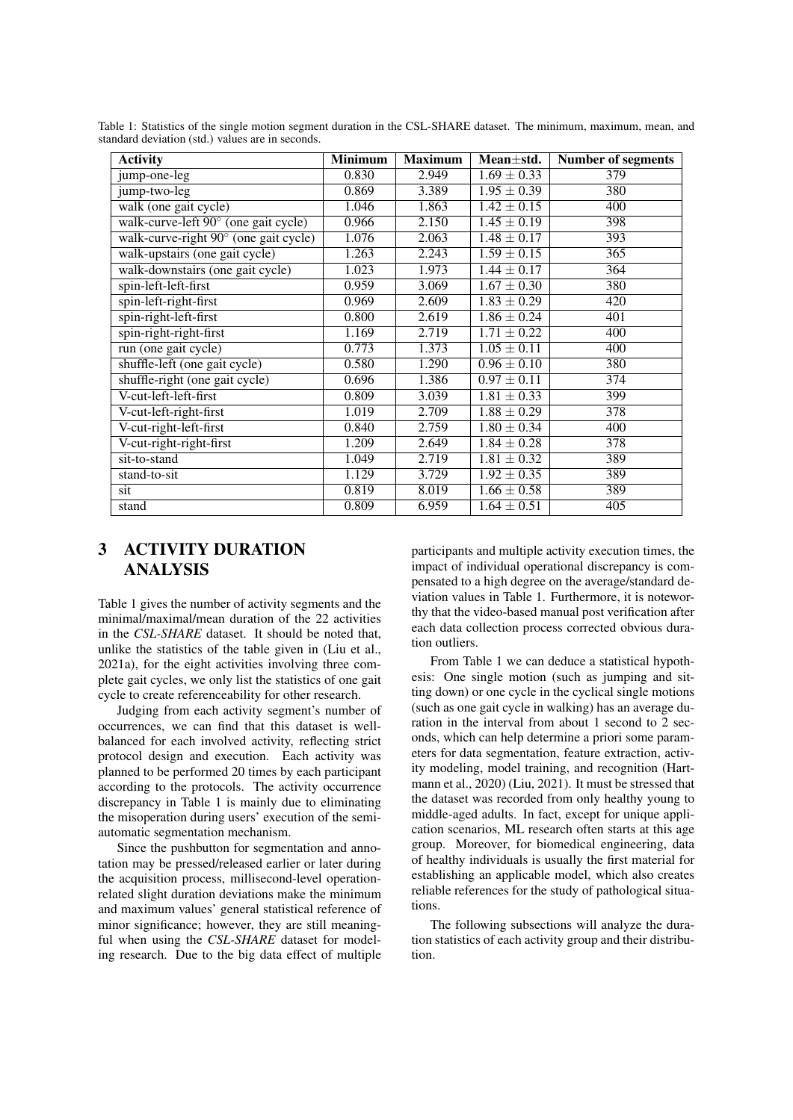| <b>Activity</b>                       | <b>Minimum</b> | <b>Maximum</b> | Mean±std.       | <b>Number of segments</b> |
|---------------------------------------|----------------|----------------|-----------------|---------------------------|
| jump-one-leg                          | 0.830          | 2.949          | $1.69 \pm 0.33$ | 379                       |
| jump-two-leg                          | 0.869          | 3.389          | $1.95 \pm 0.39$ | 380                       |
| walk (one gait cycle)                 | 1.046          | 1.863          | $1.42 \pm 0.15$ | 400                       |
| walk-curve-left 90° (one gait cycle)  | 0.966          | 2.150          | $1.45 \pm 0.19$ | 398                       |
| walk-curve-right 90° (one gait cycle) | 1.076          | 2.063          | $1.48 \pm 0.17$ | 393                       |
| walk-upstairs (one gait cycle)        | 1.263          | 2.243          | $1.59 \pm 0.15$ | $\overline{365}$          |
| walk-downstairs (one gait cycle)      | 1.023          | 1.973          | $1.44 \pm 0.17$ | 364                       |
| spin-left-left-first                  | 0.959          | 3.069          | $1.67 \pm 0.30$ | 380                       |
| spin-left-right-first                 | 0.969          | 2.609          | $1.83 \pm 0.29$ | 420                       |
| spin-right-left-first                 | 0.800          | 2.619          | $1.86 \pm 0.24$ | 401                       |
| spin-right-right-first                | 1.169          | 2.719          | $1.71 \pm 0.22$ | 400                       |
| run (one gait cycle)                  | 0.773          | 1.373          | $1.05 \pm 0.11$ | 400                       |
| shuffle-left (one gait cycle)         | 0.580          | 1.290          | $0.96 \pm 0.10$ | 380                       |
| shuffle-right (one gait cycle)        | 0.696          | 1.386          | $0.97 \pm 0.11$ | 374                       |
| V-cut-left-left-first                 | 0.809          | 3.039          | $1.81 \pm 0.33$ | 399                       |
| V-cut-left-right-first                | 1.019          | 2.709          | $1.88 \pm 0.29$ | $\overline{378}$          |
| V-cut-right-left-first                | 0.840          | 2.759          | $1.80 \pm 0.34$ | 400                       |
| V-cut-right-right-first               | 1.209          | 2.649          | $1.84 \pm 0.28$ | 378                       |
| sit-to-stand                          | 1.049          | 2.719          | $1.81 \pm 0.32$ | 389                       |
| stand-to-sit                          | 1.129          | 3.729          | $1.92 \pm 0.35$ | 389                       |
| sit                                   | 0.819          | 8.019          | $1.66 \pm 0.58$ | 389                       |
| stand                                 | 0.809          | 6.959          | $1.64 \pm 0.51$ | 405                       |

Table 1: Statistics of the single motion segment duration in the CSL-SHARE dataset. The minimum, maximum, mean, and standard deviation (std.) values are in seconds.

# 3 ACTIVITY DURATION ANALYSIS

Table 1 gives the number of activity segments and the minimal/maximal/mean duration of the 22 activities in the *CSL-SHARE* dataset. It should be noted that, unlike the statistics of the table given in (Liu et al., 2021a), for the eight activities involving three complete gait cycles, we only list the statistics of one gait cycle to create referenceability for other research.

Judging from each activity segment's number of occurrences, we can find that this dataset is wellbalanced for each involved activity, reflecting strict protocol design and execution. Each activity was planned to be performed 20 times by each participant according to the protocols. The activity occurrence discrepancy in Table 1 is mainly due to eliminating the misoperation during users' execution of the semiautomatic segmentation mechanism.

Since the pushbutton for segmentation and annotation may be pressed/released earlier or later during the acquisition process, millisecond-level operationrelated slight duration deviations make the minimum and maximum values' general statistical reference of minor significance; however, they are still meaningful when using the *CSL-SHARE* dataset for modeling research. Due to the big data effect of multiple

participants and multiple activity execution times, the impact of individual operational discrepancy is compensated to a high degree on the average/standard deviation values in Table 1. Furthermore, it is noteworthy that the video-based manual post verification after each data collection process corrected obvious duration outliers.

From Table 1 we can deduce a statistical hypothesis: One single motion (such as jumping and sitting down) or one cycle in the cyclical single motions (such as one gait cycle in walking) has an average duration in the interval from about 1 second to 2 seconds, which can help determine a priori some parameters for data segmentation, feature extraction, activity modeling, model training, and recognition (Hartmann et al., 2020) (Liu, 2021). It must be stressed that the dataset was recorded from only healthy young to middle-aged adults. In fact, except for unique application scenarios, ML research often starts at this age group. Moreover, for biomedical engineering, data of healthy individuals is usually the first material for establishing an applicable model, which also creates reliable references for the study of pathological situations.

The following subsections will analyze the duration statistics of each activity group and their distribution.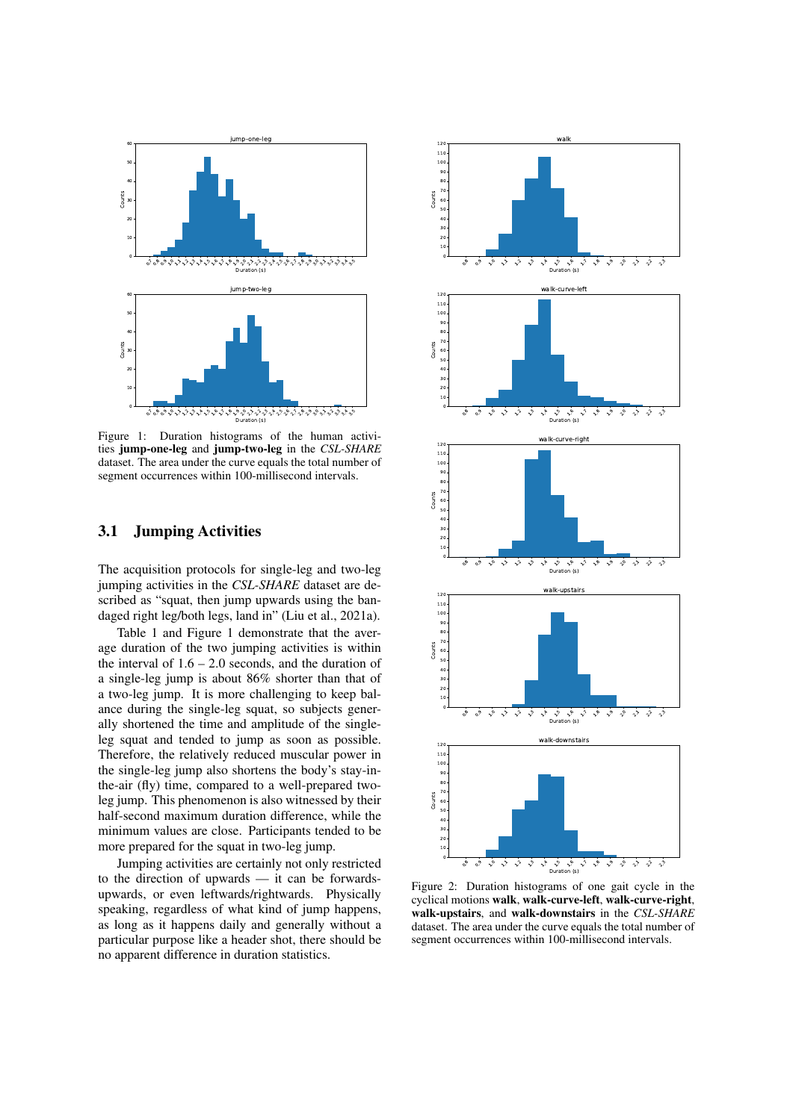

Figure 1: Duration histograms of the human activities jump-one-leg and jump-two-leg in the *CSL-SHARE* dataset. The area under the curve equals the total number of segment occurrences within 100-millisecond intervals.

### 3.1 Jumping Activities

The acquisition protocols for single-leg and two-leg jumping activities in the *CSL-SHARE* dataset are described as "squat, then jump upwards using the bandaged right leg/both legs, land in" (Liu et al., 2021a).

Table 1 and Figure 1 demonstrate that the average duration of the two jumping activities is within the interval of  $1.6 - 2.0$  seconds, and the duration of a single-leg jump is about 86% shorter than that of a two-leg jump. It is more challenging to keep balance during the single-leg squat, so subjects generally shortened the time and amplitude of the singleleg squat and tended to jump as soon as possible. Therefore, the relatively reduced muscular power in the single-leg jump also shortens the body's stay-inthe-air (fly) time, compared to a well-prepared twoleg jump. This phenomenon is also witnessed by their half-second maximum duration difference, while the minimum values are close. Participants tended to be more prepared for the squat in two-leg jump.

Jumping activities are certainly not only restricted to the direction of upwards — it can be forwardsupwards, or even leftwards/rightwards. Physically speaking, regardless of what kind of jump happens, as long as it happens daily and generally without a particular purpose like a header shot, there should be no apparent difference in duration statistics.



Figure 2: Duration histograms of one gait cycle in the cyclical motions walk, walk-curve-left, walk-curve-right, walk-upstairs, and walk-downstairs in the *CSL-SHARE* dataset. The area under the curve equals the total number of segment occurrences within 100-millisecond intervals.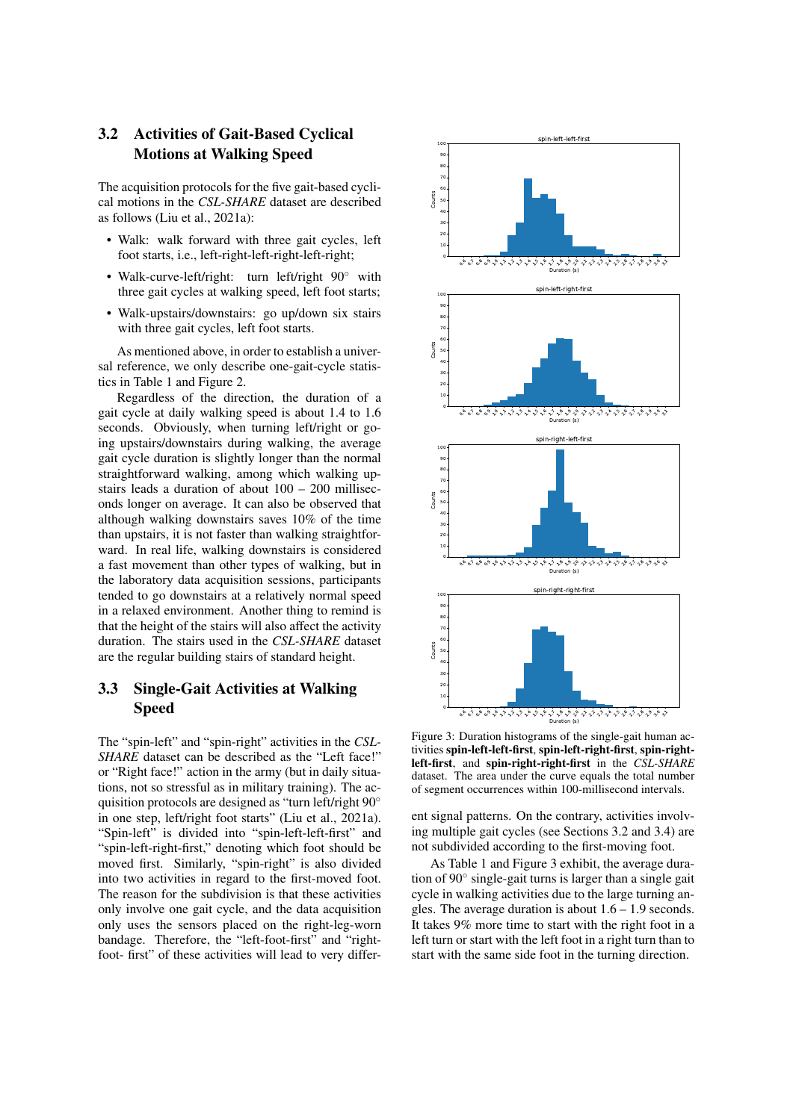## 3.2 Activities of Gait-Based Cyclical Motions at Walking Speed

The acquisition protocols for the five gait-based cyclical motions in the *CSL-SHARE* dataset are described as follows (Liu et al., 2021a):

- Walk: walk forward with three gait cycles, left foot starts, i.e., left-right-left-right-left-right;
- Walk-curve-left/right: turn left/right 90° with three gait cycles at walking speed, left foot starts;
- Walk-upstairs/downstairs: go up/down six stairs with three gait cycles, left foot starts.

As mentioned above, in order to establish a universal reference, we only describe one-gait-cycle statistics in Table 1 and Figure 2.

Regardless of the direction, the duration of a gait cycle at daily walking speed is about 1.4 to 1.6 seconds. Obviously, when turning left/right or going upstairs/downstairs during walking, the average gait cycle duration is slightly longer than the normal straightforward walking, among which walking upstairs leads a duration of about 100 – 200 milliseconds longer on average. It can also be observed that although walking downstairs saves 10% of the time than upstairs, it is not faster than walking straightforward. In real life, walking downstairs is considered a fast movement than other types of walking, but in the laboratory data acquisition sessions, participants tended to go downstairs at a relatively normal speed in a relaxed environment. Another thing to remind is that the height of the stairs will also affect the activity duration. The stairs used in the *CSL-SHARE* dataset are the regular building stairs of standard height.

### 3.3 Single-Gait Activities at Walking Speed

The "spin-left" and "spin-right" activities in the *CSL-SHARE* dataset can be described as the "Left face!" or "Right face!" action in the army (but in daily situations, not so stressful as in military training). The acquisition protocols are designed as "turn left/right 90◦ in one step, left/right foot starts" (Liu et al., 2021a). "Spin-left" is divided into "spin-left-left-first" and "spin-left-right-first," denoting which foot should be moved first. Similarly, "spin-right" is also divided into two activities in regard to the first-moved foot. The reason for the subdivision is that these activities only involve one gait cycle, and the data acquisition only uses the sensors placed on the right-leg-worn bandage. Therefore, the "left-foot-first" and "rightfoot- first" of these activities will lead to very differ-



Figure 3: Duration histograms of the single-gait human activities spin-left-left-first, spin-left-right-first, spin-rightleft-first, and spin-right-right-first in the *CSL-SHARE* dataset. The area under the curve equals the total number of segment occurrences within 100-millisecond intervals.

ent signal patterns. On the contrary, activities involving multiple gait cycles (see Sections 3.2 and 3.4) are not subdivided according to the first-moving foot.

As Table 1 and Figure 3 exhibit, the average duration of 90◦ single-gait turns is larger than a single gait cycle in walking activities due to the large turning angles. The average duration is about  $1.6 - 1.9$  seconds. It takes 9% more time to start with the right foot in a left turn or start with the left foot in a right turn than to start with the same side foot in the turning direction.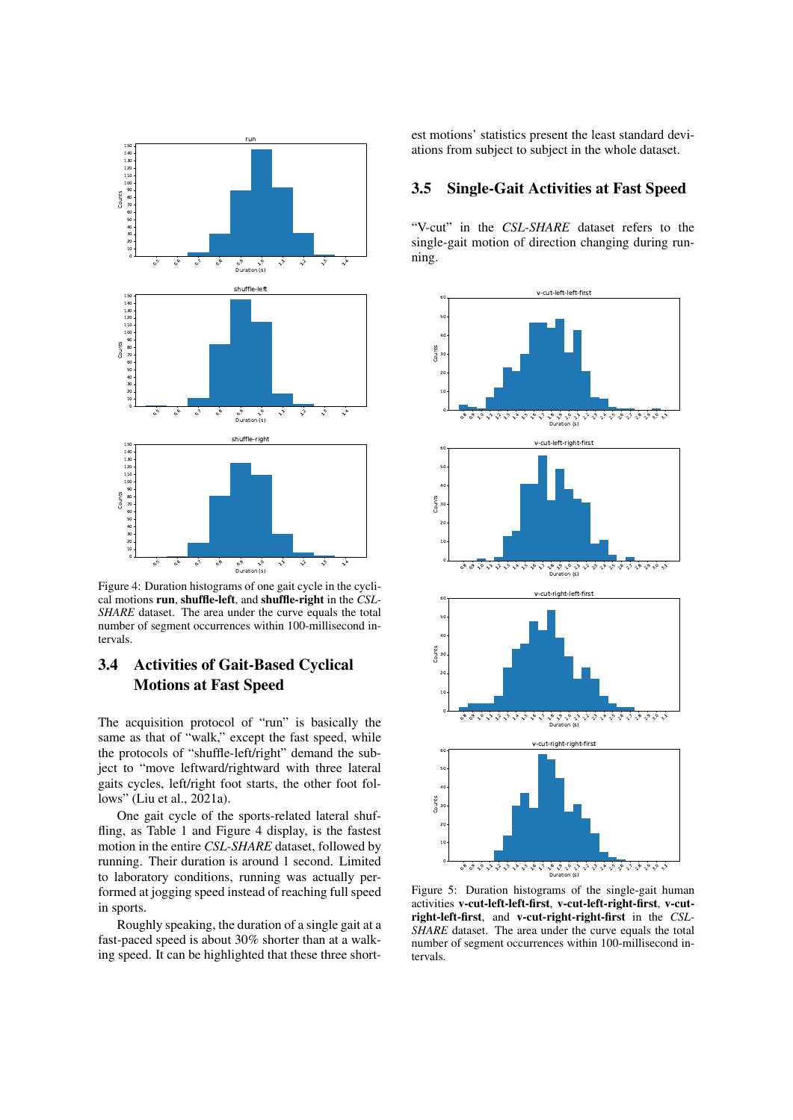

Figure 4: Duration histograms of one gait cycle in the cyclical motions run, shuffle-left, and shuffle-right in the *CSL-SHARE* dataset. The area under the curve equals the total number of segment occurrences within 100-millisecond intervals.

# 3.4 Activities of Gait-Based Cyclical Motions at Fast Speed

The acquisition protocol of "run" is basically the same as that of "walk," except the fast speed, while the protocols of "shuffle-left/right" demand the subject to "move leftward/rightward with three lateral gaits cycles, left/right foot starts, the other foot follows" (Liu et al., 2021a).

One gait cycle of the sports-related lateral shuffling, as Table 1 and Figure 4 display, is the fastest motion in the entire *CSL-SHARE* dataset, followed by running. Their duration is around 1 second. Limited to laboratory conditions, running was actually performed at jogging speed instead of reaching full speed in sports.

Roughly speaking, the duration of a single gait at a fast-paced speed is about 30% shorter than at a walking speed. It can be highlighted that these three shortest motions' statistics present the least standard deviations from subject to subject in the whole dataset.

#### 3.5 Single-Gait Activities at Fast Speed

"V-cut" in the *CSL-SHARE* dataset refers to the single-gait motion of direction changing during running.



Figure 5: Duration histograms of the single-gait human activities v-cut-left-left-first, v-cut-left-right-first, v-cutright-left-first, and v-cut-right-right-first in the *CSL-SHARE* dataset. The area under the curve equals the total number of segment occurrences within 100-millisecond intervals.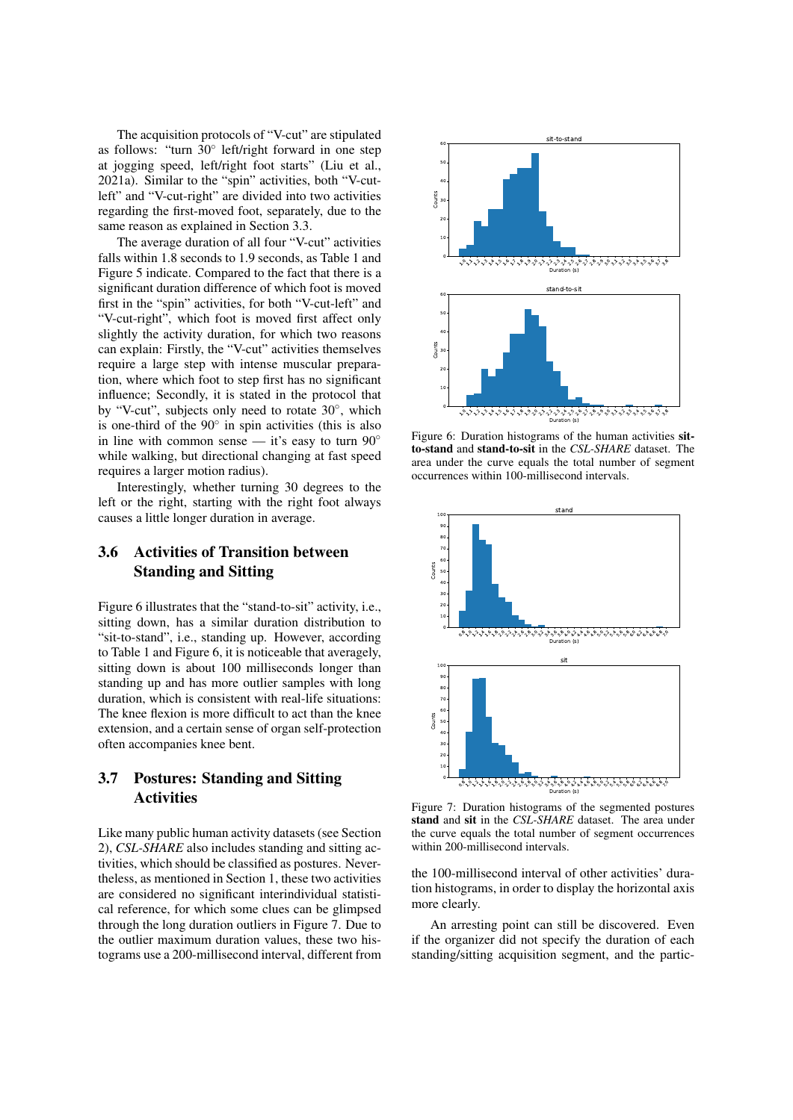The acquisition protocols of "V-cut" are stipulated as follows: "turn 30◦ left/right forward in one step at jogging speed, left/right foot starts" (Liu et al., 2021a). Similar to the "spin" activities, both "V-cutleft" and "V-cut-right" are divided into two activities regarding the first-moved foot, separately, due to the same reason as explained in Section 3.3.

The average duration of all four "V-cut" activities falls within 1.8 seconds to 1.9 seconds, as Table 1 and Figure 5 indicate. Compared to the fact that there is a significant duration difference of which foot is moved first in the "spin" activities, for both "V-cut-left" and "V-cut-right", which foot is moved first affect only slightly the activity duration, for which two reasons can explain: Firstly, the "V-cut" activities themselves require a large step with intense muscular preparation, where which foot to step first has no significant influence; Secondly, it is stated in the protocol that by "V-cut", subjects only need to rotate 30°, which is one-third of the  $90^\circ$  in spin activities (this is also in line with common sense — it's easy to turn  $90^\circ$ while walking, but directional changing at fast speed requires a larger motion radius).

Interestingly, whether turning 30 degrees to the left or the right, starting with the right foot always causes a little longer duration in average.

# 3.6 Activities of Transition between Standing and Sitting

Figure 6 illustrates that the "stand-to-sit" activity, i.e., sitting down, has a similar duration distribution to "sit-to-stand", i.e., standing up. However, according to Table 1 and Figure 6, it is noticeable that averagely, sitting down is about 100 milliseconds longer than standing up and has more outlier samples with long duration, which is consistent with real-life situations: The knee flexion is more difficult to act than the knee extension, and a certain sense of organ self-protection often accompanies knee bent.

## 3.7 Postures: Standing and Sitting Activities

Like many public human activity datasets (see Section 2), *CSL-SHARE* also includes standing and sitting activities, which should be classified as postures. Nevertheless, as mentioned in Section 1, these two activities are considered no significant interindividual statistical reference, for which some clues can be glimpsed through the long duration outliers in Figure 7. Due to the outlier maximum duration values, these two histograms use a 200-millisecond interval, different from



Figure 6: Duration histograms of the human activities sitto-stand and stand-to-sit in the *CSL-SHARE* dataset. The area under the curve equals the total number of segment occurrences within 100-millisecond intervals.



Figure 7: Duration histograms of the segmented postures stand and sit in the *CSL-SHARE* dataset. The area under the curve equals the total number of segment occurrences within 200-millisecond intervals.

the 100-millisecond interval of other activities' duration histograms, in order to display the horizontal axis more clearly.

An arresting point can still be discovered. Even if the organizer did not specify the duration of each standing/sitting acquisition segment, and the partic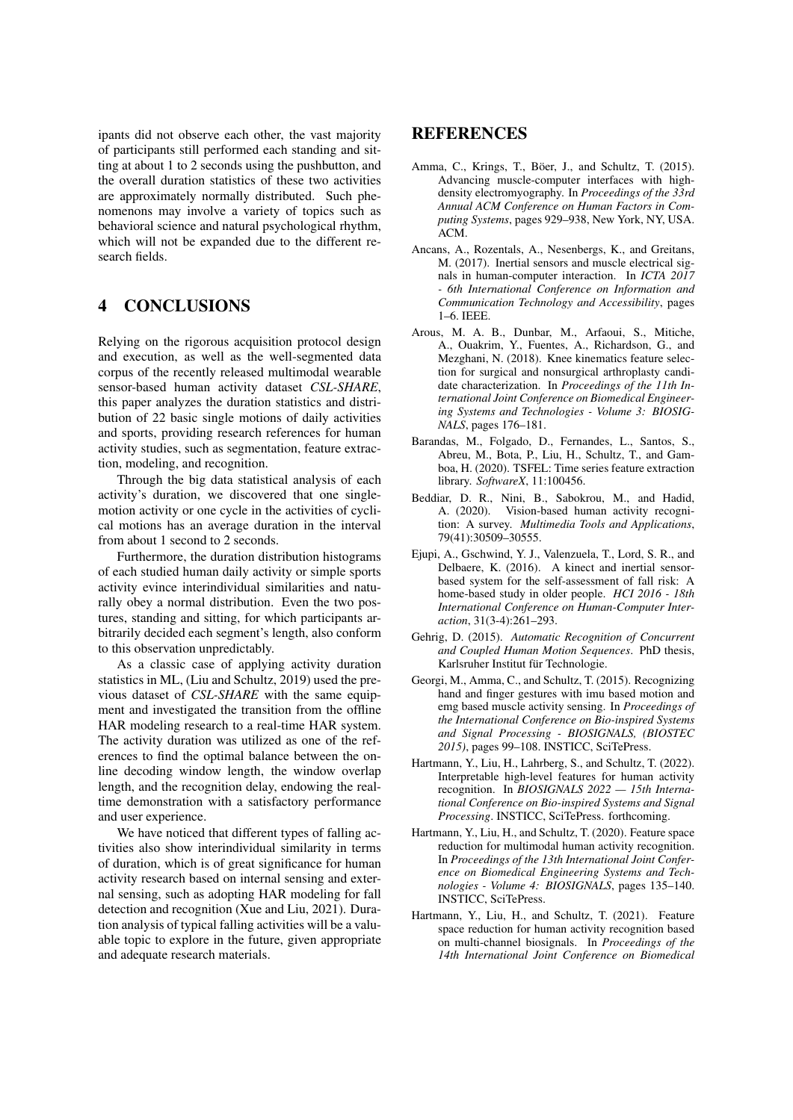ipants did not observe each other, the vast majority of participants still performed each standing and sitting at about 1 to 2 seconds using the pushbutton, and the overall duration statistics of these two activities are approximately normally distributed. Such phenomenons may involve a variety of topics such as behavioral science and natural psychological rhythm, which will not be expanded due to the different research fields.

### 4 CONCLUSIONS

Relying on the rigorous acquisition protocol design and execution, as well as the well-segmented data corpus of the recently released multimodal wearable sensor-based human activity dataset *CSL-SHARE*, this paper analyzes the duration statistics and distribution of 22 basic single motions of daily activities and sports, providing research references for human activity studies, such as segmentation, feature extraction, modeling, and recognition.

Through the big data statistical analysis of each activity's duration, we discovered that one singlemotion activity or one cycle in the activities of cyclical motions has an average duration in the interval from about 1 second to 2 seconds.

Furthermore, the duration distribution histograms of each studied human daily activity or simple sports activity evince interindividual similarities and naturally obey a normal distribution. Even the two postures, standing and sitting, for which participants arbitrarily decided each segment's length, also conform to this observation unpredictably.

As a classic case of applying activity duration statistics in ML, (Liu and Schultz, 2019) used the previous dataset of *CSL-SHARE* with the same equipment and investigated the transition from the offline HAR modeling research to a real-time HAR system. The activity duration was utilized as one of the references to find the optimal balance between the online decoding window length, the window overlap length, and the recognition delay, endowing the realtime demonstration with a satisfactory performance and user experience.

We have noticed that different types of falling activities also show interindividual similarity in terms of duration, which is of great significance for human activity research based on internal sensing and external sensing, such as adopting HAR modeling for fall detection and recognition (Xue and Liu, 2021). Duration analysis of typical falling activities will be a valuable topic to explore in the future, given appropriate and adequate research materials.

### REFERENCES

- Amma, C., Krings, T., Böer, J., and Schultz, T. (2015). Advancing muscle-computer interfaces with highdensity electromyography. In *Proceedings of the 33rd Annual ACM Conference on Human Factors in Computing Systems*, pages 929–938, New York, NY, USA.  $ACM$
- Ancans, A., Rozentals, A., Nesenbergs, K., and Greitans, M. (2017). Inertial sensors and muscle electrical signals in human-computer interaction. In *ICTA 2017 - 6th International Conference on Information and Communication Technology and Accessibility*, pages 1–6. IEEE.
- Arous, M. A. B., Dunbar, M., Arfaoui, S., Mitiche, A., Ouakrim, Y., Fuentes, A., Richardson, G., and Mezghani, N. (2018). Knee kinematics feature selection for surgical and nonsurgical arthroplasty candidate characterization. In *Proceedings of the 11th International Joint Conference on Biomedical Engineering Systems and Technologies - Volume 3: BIOSIG-NALS*, pages 176–181.
- Barandas, M., Folgado, D., Fernandes, L., Santos, S., Abreu, M., Bota, P., Liu, H., Schultz, T., and Gamboa, H. (2020). TSFEL: Time series feature extraction library. *SoftwareX*, 11:100456.
- Beddiar, D. R., Nini, B., Sabokrou, M., and Hadid, A. (2020). Vision-based human activity recognition: A survey. *Multimedia Tools and Applications*, 79(41):30509–30555.
- Ejupi, A., Gschwind, Y. J., Valenzuela, T., Lord, S. R., and Delbaere, K. (2016). A kinect and inertial sensorbased system for the self-assessment of fall risk: A home-based study in older people. *HCI 2016 - 18th International Conference on Human-Computer Interaction*, 31(3-4):261–293.
- Gehrig, D. (2015). *Automatic Recognition of Concurrent and Coupled Human Motion Sequences*. PhD thesis, Karlsruher Institut für Technologie.
- Georgi, M., Amma, C., and Schultz, T. (2015). Recognizing hand and finger gestures with imu based motion and emg based muscle activity sensing. In *Proceedings of the International Conference on Bio-inspired Systems and Signal Processing - BIOSIGNALS, (BIOSTEC 2015)*, pages 99–108. INSTICC, SciTePress.
- Hartmann, Y., Liu, H., Lahrberg, S., and Schultz, T. (2022). Interpretable high-level features for human activity recognition. In *BIOSIGNALS 2022 — 15th International Conference on Bio-inspired Systems and Signal Processing*. INSTICC, SciTePress. forthcoming.
- Hartmann, Y., Liu, H., and Schultz, T. (2020). Feature space reduction for multimodal human activity recognition. In *Proceedings of the 13th International Joint Conference on Biomedical Engineering Systems and Technologies - Volume 4: BIOSIGNALS*, pages 135–140. INSTICC, SciTePress.
- Hartmann, Y., Liu, H., and Schultz, T. (2021). Feature space reduction for human activity recognition based on multi-channel biosignals. In *Proceedings of the 14th International Joint Conference on Biomedical*